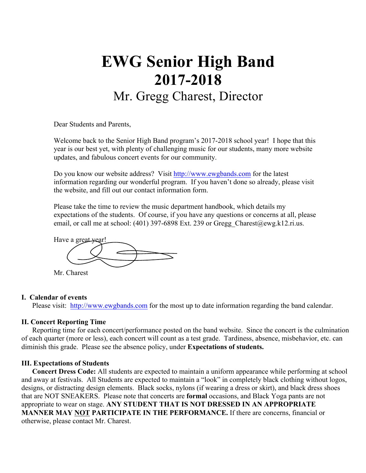# **EWG Senior High Band 2017-2018** Mr. Gregg Charest, Director

Dear Students and Parents,

Welcome back to the Senior High Band program's 2017-2018 school year! I hope that this year is our best yet, with plenty of challenging music for our students, many more website updates, and fabulous concert events for our community.

Do you know our website address? Visit http://www.ewgbands.com for the latest information regarding our wonderful program. If you haven't done so already, please visit the website, and fill out our contact information form.

Please take the time to review the music department handbook, which details my expectations of the students. Of course, if you have any questions or concerns at all, please email, or call me at school: (401) 397-6898 Ext. 239 or Gregg Charest@ewg.k12.ri.us.



Mr. Charest

## **I. Calendar of events**

Please visit: http://www.ewgbands.com for the most up to date information regarding the band calendar.

## **II. Concert Reporting Time**

Reporting time for each concert/performance posted on the band website. Since the concert is the culmination of each quarter (more or less), each concert will count as a test grade. Tardiness, absence, misbehavior, etc. can diminish this grade. Please see the absence policy, under **Expectations of students.**

## **III. Expectations of Students**

**Concert Dress Code:** All students are expected to maintain a uniform appearance while performing at school and away at festivals. All Students are expected to maintain a "look" in completely black clothing without logos, designs, or distracting design elements. Black socks, nylons (if wearing a dress or skirt), and black dress shoes that are NOT SNEAKERS. Please note that concerts are **formal** occasions, and Black Yoga pants are not appropriate to wear on stage. **ANY STUDENT THAT IS NOT DRESSED IN AN APPROPRIATE MANNER MAY NOT PARTICIPATE IN THE PERFORMANCE.** If there are concerns, financial or otherwise, please contact Mr. Charest.